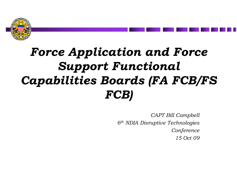

# *Force Application and Force Support Functional Capabilities Boards (FA FCB/FS FCB)*

*CAPT Bill Campbell 6th NDIA Disruptive Technologies Conference 15 Oct 09*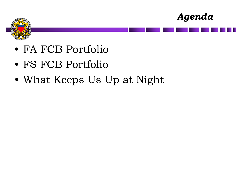



- FA FCB Portfolio
- FS FCB Portfolio
- What Keeps Us Up at Night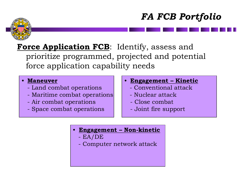### *FA FCB Portfolio*



### Force Application FCB: Identify, assess and prioritize programmed, projected and potential force application capability needs

#### • **Maneuver**

- Land combat operations
- Maritime combat operations
- Air combat operations
- Space combat operations
- **Engagement – Kinetic**
	- Conventional attack
	- Nuclear attack
	- Close combat
	- Joint fire support
- **Engagement – Non-kinetic**
	- EA/DE
	- Computer network attack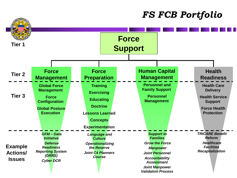### *FS FCB Portfolio*